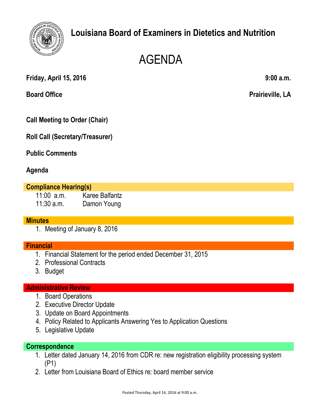

# **Louisiana Board of Examiners in Dietetics and Nutrition**

# AGENDA

**Friday, April 15, 2016 9:00 a.m.**

**Board Office Prairieville, LA**

**Call Meeting to Order (Chair)**

**Roll Call (Secretary/Treasurer)**

**Public Comments**

# **Agenda**

#### **Compliance Hearing(s)**

11:00 a.m. Karee Balfantz 11:30 a.m. Damon Young

## **Minutes**

1. Meeting of January 8, 2016

## **Financial**

- 1. Financial Statement for the period ended December 31, 2015
- 2. Professional Contracts
- 3. Budget

#### **Administrative Review**

- 1. Board Operations
- 2. Executive Director Update
- 3. Update on Board Appointments
- 4. Policy Related to Applicants Answering Yes to Application Questions
- 5. Legislative Update

#### **Correspondence**

- 1. Letter dated January 14, 2016 from CDR re: new registration eligibility processing system (P1)
- 2. Letter from Louisiana Board of Ethics re: board member service